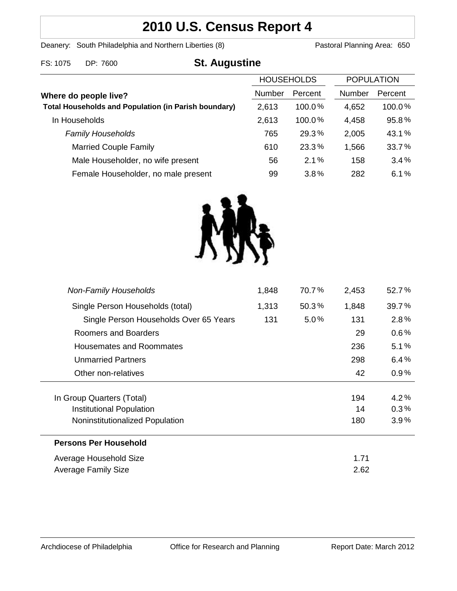# **2010 U.S. Census Report 4**

Deanery: South Philadelphia and Northern Liberties (8) Pastoral Planning Area: 650

| FS: 1075<br>DP: 7600 | <b>St. Augustine</b> |
|----------------------|----------------------|
|----------------------|----------------------|

| <b>HOUSEHOLDS</b>                                           |        |           | <b>POPULATION</b> |         |
|-------------------------------------------------------------|--------|-----------|-------------------|---------|
| Where do people live?                                       | Number | Percent   | Number            | Percent |
| <b>Total Households and Population (in Parish boundary)</b> | 2,613  | 100.0%    | 4,652             | 100.0%  |
| In Households                                               | 2,613  | $100.0\%$ | 4,458             | 95.8%   |
| <b>Family Households</b>                                    | 765    | 29.3%     | 2,005             | 43.1%   |
| <b>Married Couple Family</b>                                | 610    | 23.3%     | 1,566             | 33.7%   |
| Male Householder, no wife present                           | 56     | 2.1%      | 158               | 3.4%    |
| Female Householder, no male present                         | 99     | 3.8%      | 282               | 6.1%    |



| <b>Non-Family Households</b>           | 1,848 | 70.7%   | 2,453 | 52.7%   |
|----------------------------------------|-------|---------|-------|---------|
| Single Person Households (total)       | 1,313 | 50.3%   | 1,848 | 39.7%   |
| Single Person Households Over 65 Years | 131   | $5.0\%$ | 131   | 2.8%    |
| Roomers and Boarders                   |       |         | 29    | $0.6\%$ |
| Housemates and Roommates               |       |         | 236   | 5.1%    |
| <b>Unmarried Partners</b>              |       |         | 298   | 6.4%    |
| Other non-relatives                    |       |         | 42    | 0.9%    |
|                                        |       |         |       |         |
| In Group Quarters (Total)              |       |         | 194   | 4.2%    |
| <b>Institutional Population</b>        |       |         | 14    | 0.3%    |
| Noninstitutionalized Population        |       |         | 180   | $3.9\%$ |
| <b>Persons Per Household</b>           |       |         |       |         |
| Average Household Size                 |       |         | 1.71  |         |
| Average Family Size                    |       |         | 2.62  |         |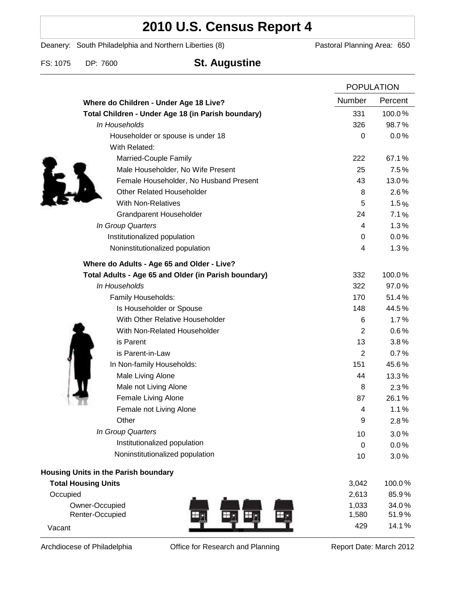# **2010 U.S. Census Report 4**

Deanery: South Philadelphia and Northern Liberties (8) Pastoral Planning Area: 650

| FS: 1075<br>DP: 7600 | <b>St. Augustine</b> |
|----------------------|----------------------|
|----------------------|----------------------|

|                                                      | <b>POPULATION</b> |         |
|------------------------------------------------------|-------------------|---------|
| Where do Children - Under Age 18 Live?               | Number            | Percent |
| Total Children - Under Age 18 (in Parish boundary)   | 331               | 100.0%  |
| In Households                                        | 326               | 98.7%   |
| Householder or spouse is under 18                    | 0                 | 0.0%    |
| With Related:                                        |                   |         |
| Married-Couple Family                                | 222               | 67.1%   |
| Male Householder, No Wife Present                    | 25                | 7.5%    |
| Female Householder, No Husband Present               | 43                | 13.0%   |
| <b>Other Related Householder</b>                     | 8                 | 2.6%    |
| <b>With Non-Relatives</b>                            | 5                 | 1.5%    |
| <b>Grandparent Householder</b>                       | 24                | 7.1%    |
| In Group Quarters                                    | 4                 | 1.3%    |
| Institutionalized population                         | 0                 | 0.0%    |
| Noninstitutionalized population                      | 4                 | 1.3%    |
| Where do Adults - Age 65 and Older - Live?           |                   |         |
| Total Adults - Age 65 and Older (in Parish boundary) | 332               | 100.0%  |
| In Households                                        | 322               | 97.0%   |
| Family Households:                                   | 170               | 51.4%   |
| Is Householder or Spouse                             | 148               | 44.5%   |
| With Other Relative Householder                      | 6                 | 1.7%    |
| With Non-Related Householder                         | $\overline{2}$    | 0.6%    |
| is Parent                                            | 13                | 3.8%    |
| is Parent-in-Law                                     | 2                 | 0.7%    |
| In Non-family Households:                            | 151               | 45.6%   |
| Male Living Alone                                    | 44                | 13.3%   |
| Male not Living Alone                                | 8                 | $2.3\%$ |
| Female Living Alone                                  | 87                | 26.1%   |
| Female not Living Alone                              | 4                 | 1.1%    |
| Other                                                | 9                 | 2.8%    |
| In Group Quarters                                    | 10                | 3.0%    |
| Institutionalized population                         | $\mathbf 0$       | 0.0%    |
| Noninstitutionalized population                      | 10                | 3.0%    |
| <b>Housing Units in the Parish boundary</b>          |                   |         |
| <b>Total Housing Units</b>                           | 3,042             | 100.0%  |
| Occupied                                             | 2,613             | 85.9%   |
| Owner-Occupied                                       | 1,033             | 34.0%   |
| Renter-Occupied                                      | 1,580             | 51.9%   |
| Vacant                                               | 429               | 14.1%   |

Archdiocese of Philadelphia **Office for Research and Planning** Report Date: March 2012